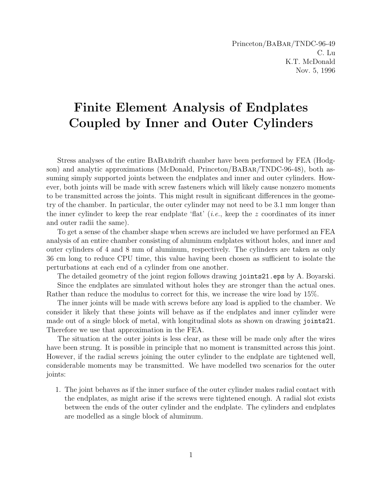Princeton/BaBar/TNDC-96-49 C. Lu K.T. McDonald Nov. 5, 1996

## Finite Element Analysis of Endplates Coupled by Inner and Outer Cylinders

Stress analyses of the entire BaBardrift chamber have been performed by FEA (Hodgson) and analytic approximations (McDonald, Princeton/BABAR/TNDC-96-48), both assuming simply supported joints between the endplates and inner and outer cylinders. However, both joints will be made with screw fasteners which will likely cause nonzero moments to be transmitted across the joints. This might result in significant differences in the geometry of the chamber. In particular, the outer cylinder may not need to be 3.1 mm longer than the inner cylinder to keep the rear endplate 'flat' (*i.e.*, keep the z coordinates of its inner and outer radii the same).

To get a sense of the chamber shape when screws are included we have performed an FEA analysis of an entire chamber consisting of aluminum endplates without holes, and inner and outer cylinders of 4 and 8 mm of aluminum, respectively. The cylinders are taken as only 36 cm long to reduce CPU time, this value having been chosen as sufficient to isolate the perturbations at each end of a cylinder from one another.

The detailed geometry of the joint region follows drawing joints21.eps by A. Boyarski.

Since the endplates are simulated without holes they are stronger than the actual ones. Rather than reduce the modulus to correct for this, we increase the wire load by 15%.

The inner joints will be made with screws before any load is applied to the chamber. We consider it likely that these joints will behave as if the endplates and inner cylinder were made out of a single block of metal, with longitudinal slots as shown on drawing joints21. Therefore we use that approximation in the FEA.

The situation at the outer joints is less clear, as these will be made only after the wires have been strung. It is possible in principle that no moment is transmitted across this joint. However, if the radial screws joining the outer cylinder to the endplate are tightened well, considerable moments may be transmitted. We have modelled two scenarios for the outer joints:

1. The joint behaves as if the inner surface of the outer cylinder makes radial contact with the endplates, as might arise if the screws were tightened enough. A radial slot exists between the ends of the outer cylinder and the endplate. The cylinders and endplates are modelled as a single block of aluminum.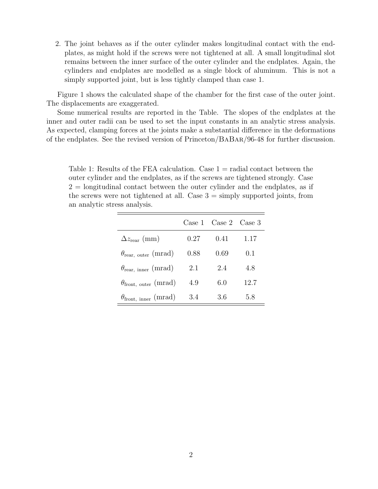2. The joint behaves as if the outer cylinder makes longitudinal contact with the endplates, as might hold if the screws were not tightened at all. A small longitudinal slot remains between the inner surface of the outer cylinder and the endplates. Again, the cylinders and endplates are modelled as a single block of aluminum. This is not a simply supported joint, but is less tightly clamped than case 1.

Figure 1 shows the calculated shape of the chamber for the first case of the outer joint. The displacements are exaggerated.

Some numerical results are reported in the Table. The slopes of the endplates at the inner and outer radii can be used to set the input constants in an analytic stress analysis. As expected, clamping forces at the joints make a substantial difference in the deformations of the endplates. See the revised version of Princeton/BaBar/96-48 for further discussion.

Table 1: Results of the FEA calculation. Case  $1 =$  radial contact between the outer cylinder and the endplates, as if the screws are tightened strongly. Case  $2 =$  longitudinal contact between the outer cylinder and the endplates, as if the screws were not tightened at all. Case  $3 = \text{simply supported}$  joints, from an analytic stress analysis.

|                                                      |      | Case 1 Case 2 Case 3 |      |
|------------------------------------------------------|------|----------------------|------|
| $\Delta z_{\text{rear}}$ (mm)                        | 0.27 | 0.41                 | 1.17 |
| $\theta_{\text{rear}, \text{ outer}} \text{ (mrad)}$ | 0.88 | 0.69                 | 0.1  |
| $\theta_{\text{rear}, \text{ inner}} \text{ (mrad)}$ | 2.1  | 2.4                  | 4.8  |
| $\theta_{front, outer}$ (mrad)                       | 4.9  | 6.0                  | 12.7 |
| $\theta_{front, inner}$ (mrad)                       | 3.4  | 3.6                  | 5.8  |